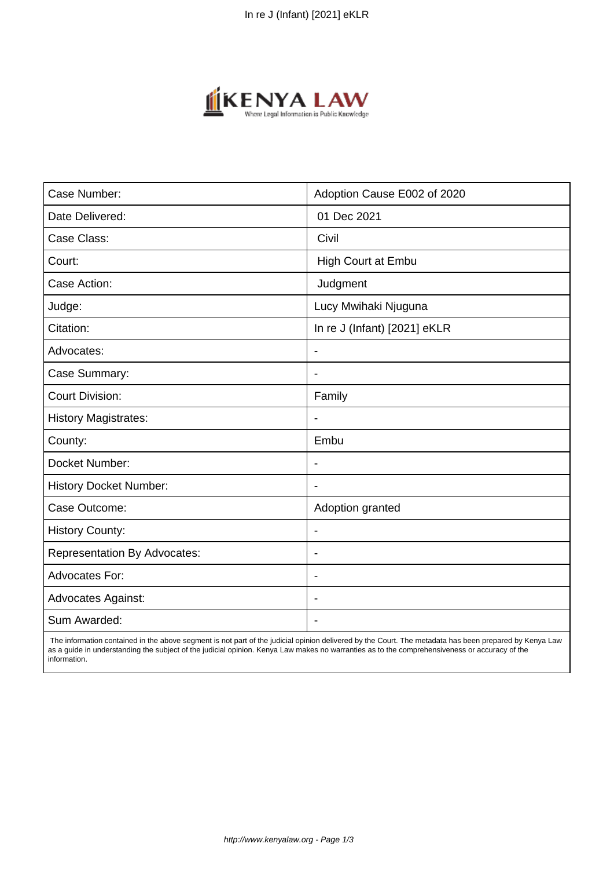

| Case Number:                        | Adoption Cause E002 of 2020  |
|-------------------------------------|------------------------------|
| Date Delivered:                     | 01 Dec 2021                  |
| Case Class:                         | Civil                        |
| Court:                              | High Court at Embu           |
| Case Action:                        | Judgment                     |
| Judge:                              | Lucy Mwihaki Njuguna         |
| Citation:                           | In re J (Infant) [2021] eKLR |
| Advocates:                          | $\overline{\phantom{a}}$     |
| Case Summary:                       | $\blacksquare$               |
| <b>Court Division:</b>              | Family                       |
| <b>History Magistrates:</b>         |                              |
| County:                             | Embu                         |
| Docket Number:                      |                              |
| <b>History Docket Number:</b>       |                              |
| Case Outcome:                       | Adoption granted             |
| <b>History County:</b>              | $\blacksquare$               |
| <b>Representation By Advocates:</b> | $\overline{\phantom{a}}$     |
| Advocates For:                      | $\blacksquare$               |
| <b>Advocates Against:</b>           | $\blacksquare$               |
| Sum Awarded:                        |                              |

 The information contained in the above segment is not part of the judicial opinion delivered by the Court. The metadata has been prepared by Kenya Law as a guide in understanding the subject of the judicial opinion. Kenya Law makes no warranties as to the comprehensiveness or accuracy of the information.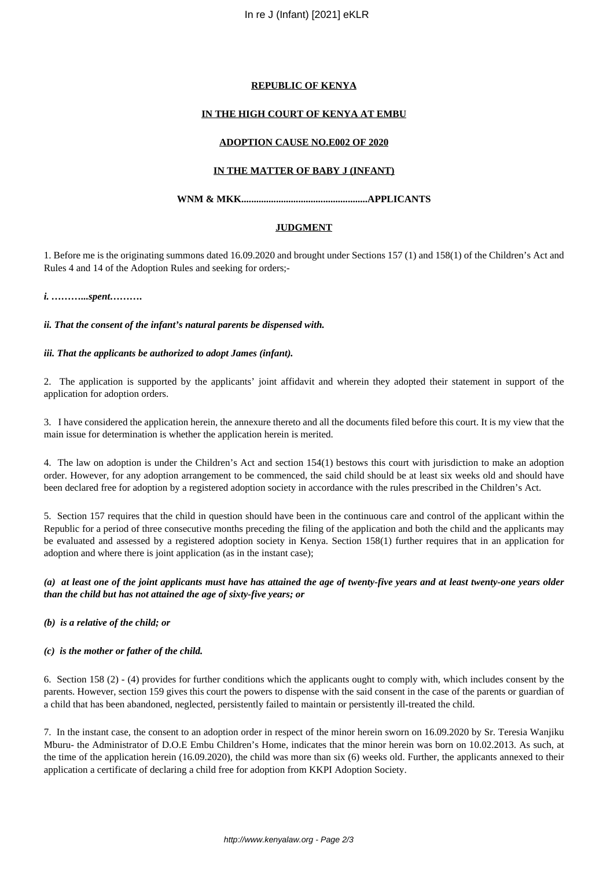### **REPUBLIC OF KENYA**

## **IN THE HIGH COURT OF KENYA AT EMBU**

### **ADOPTION CAUSE NO.E002 OF 2020**

## **IN THE MATTER OF BABY J (INFANT)**

## **WNM & MKK...................................................APPLICANTS**

## **JUDGMENT**

1. Before me is the originating summons dated 16.09.2020 and brought under Sections 157 (1) and 158(1) of the Children's Act and Rules 4 and 14 of the Adoption Rules and seeking for orders;-

*i. ………...spent……….*

*ii. That the consent of the infant's natural parents be dispensed with.*

#### *iii. That the applicants be authorized to adopt James (infant).*

2. The application is supported by the applicants' joint affidavit and wherein they adopted their statement in support of the application for adoption orders.

3. I have considered the application herein, the annexure thereto and all the documents filed before this court. It is my view that the main issue for determination is whether the application herein is merited.

4. The law on adoption is under the Children's Act and section 154(1) bestows this court with jurisdiction to make an adoption order. However, for any adoption arrangement to be commenced, the said child should be at least six weeks old and should have been declared free for adoption by a registered adoption society in accordance with the rules prescribed in the Children's Act.

5. Section 157 requires that the child in question should have been in the continuous care and control of the applicant within the Republic for a period of three consecutive months preceding the filing of the application and both the child and the applicants may be evaluated and assessed by a registered adoption society in Kenya. Section 158(1) further requires that in an application for adoption and where there is joint application (as in the instant case);

## *(a) at least one of the joint applicants must have has attained the age of twenty-five years and at least twenty-one years older than the child but has not attained the age of sixty-five years; or*

#### *(b) is a relative of the child; or*

#### *(c) is the mother or father of the child.*

6. Section 158 (2) - (4) provides for further conditions which the applicants ought to comply with, which includes consent by the parents. However, section 159 gives this court the powers to dispense with the said consent in the case of the parents or guardian of a child that has been abandoned, neglected, persistently failed to maintain or persistently ill-treated the child.

7. In the instant case, the consent to an adoption order in respect of the minor herein sworn on 16.09.2020 by Sr. Teresia Wanjiku Mburu- the Administrator of D.O.E Embu Children's Home, indicates that the minor herein was born on 10.02.2013. As such, at the time of the application herein (16.09.2020), the child was more than six (6) weeks old. Further, the applicants annexed to their application a certificate of declaring a child free for adoption from KKPI Adoption Society.